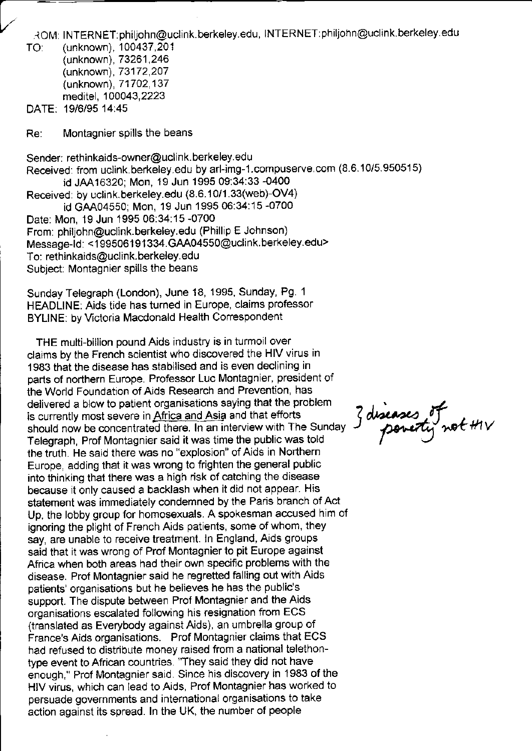.toi\4 <sup>I</sup>NTERNET: philjohn@uclink.berkeley.edu, INTERNET: philjohn@uclink.berkeley.edu TO:

(unknown), 1OO437,20'l (unknown), 73261,246 (unknown), 73172,2O7 (unknown),71702,137 meditel, 100043,2223

DATE: 1916195 14:45

Re: Montagnier spills the beans

Sender; rethinkaids-owner@uclink.berkeley.edu Received: from uclink.berkeley.edu by arl-img-1.compuserve.com (8.6.10/5.950515) id JAA16320; Mon, 19 Jun 1995 09:34:33 -0400 Received: by uclink.berkeley.edu (8.6.10/1.33(web)-OV4) id GAA04550; Mon, 19 Jun 1995 06:34:15 -0700 Date: Mon, 19 Jun 1995 06:34:15 -0700 From: philjohn@uclink.berkeley.edu (Phillip E Johnson) Message-Id: <199506191334.GAA04550@uclink.berkeley.edu> To: rethinkaids@uclink.berkeley.edu Subject: Montagnier spills the beans

Sunday Telegraph (London), June 18, 1995, Sunday, Pg. 1 HEADLINE: Aids tide has turned in Europe, claims professor BYLINE: by Victoria Macdonald Health Correspondent

THE multi-billion pound Aids industry is in turmoil over claims by the French scientist who discovered the HIV virus in 1983 that the disease has stabilised and is even declining in parts of northern Europe. Professor Luc Montagnier, president of the World Foundation of Aids Research and Prevention, has delivered a blow to patient organisations saying that the problem<br>is currently most severe in Africa and Asia and that efforts<br>should now be concentrated there. In an interview with The Sunday<br>Telegraph Prof Montequier sai is currently most severe in Africa and Asia and that efforts should now be concentrated there. In an interview with The Sunday Telegraph, Prof Montagnier said it was time the public was told the truth. He said there was no "explosion" of Aids in Northern Europe, adding that it was wrong to frighten the general public into thinking that there was a high risk of catching the disease because it only caused a backlash when it did not appear. His statement was immediately condemned by the Paris branch of Act Up, the lobby group for homosexuals. A spokesman accused him of ignoring the plight of French Aids patients, some of whom, they say, are unable to receive treatment. ln England, Aids groups said that it was wrong of Prof Montagnier to pit Europe against Africa when both areas had their own specific problems with the disease. Prof Monlagnier said he regretted falling out with Aids patients' organisations but he believes he has the public's support. The dispute between Prof Montagnier and the Aids organisations escalated following his resignation from ECS (translated as Everybody against Aids), an umbrella group of France's Aids organisations. Prof Montagnier claims that ECS had refused to distribute money raised from a national telethontype event to African countries. "They said they did not have enough," Prof Montagnier said. Since his discovery in 1983 of the HIV virus, which can lead to Aids, Prof Montagnier has worked to persuade governments and international organisations to take action against its spread. ln the UK, the number of people